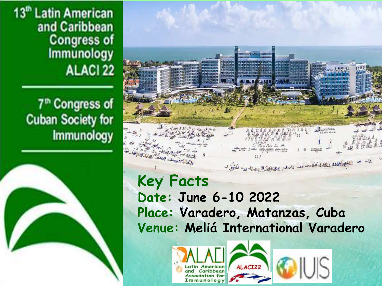13<sup>th</sup> Latin American and Caribbean **Congress of Immunology ALACI 22** 

## 7<sup>th</sup> Congress of **Cuban Society for Immunology**





**Key Facts Date: June 6-10 2022 Place: Varadero, Matanzas, Cuba Venue: Meliá International Varadero**





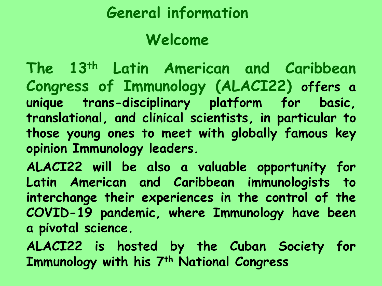# **General information**

# **Welcome**

**The 13th Latin American and Caribbean Congress of Immunology (ALACI22) offers a unique trans-disciplinary platform for basic, translational, and clinical scientists, in particular to those young ones to meet with globally famous key opinion Immunology leaders.**

**ALACI22 will be also a valuable opportunity for Latin American and Caribbean immunologists to interchange their experiences in the control of the COVID-19 pandemic, where Immunology have been a pivotal science.**

**ALACI22 is hosted by the Cuban Society for Immunology with his 7th National Congress**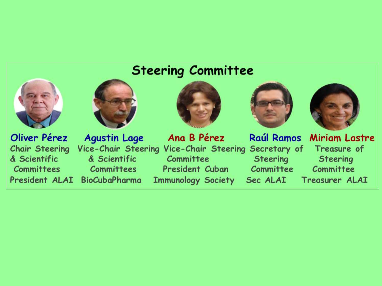### **Steering Committee**

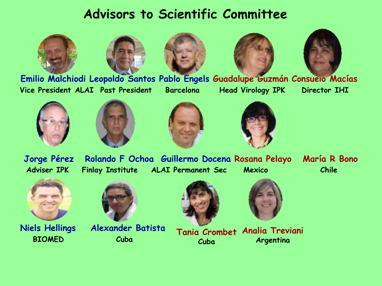### **Advisors to Scientific Committee**











**Emilio Malchiodi Leopoldo Santos Pablo Engels Guadalupe Guzmán Consuelo Macías Vice President ALAI Past President Barcelona Head Virology IPK Director IHI**













**BIOMED Cuba**



**Niels Hellings Alexander Batista**





**Tania Crombet Analia Treviani Cuba Argentina**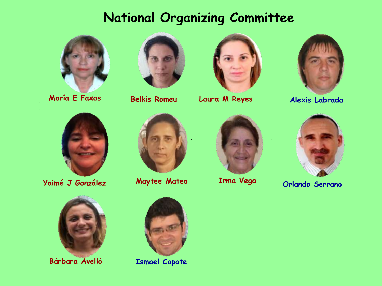### **National Organizing Committee**





**Belkis Romeu**



**María E Faxas Alexis Labrada Laura M Reyes**





**Yaimé J González Maytee Mateo Orlando Serrano**



**Bárbara Avelló Ismael Capote**







**Irma Vega**

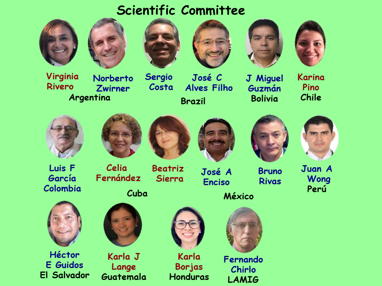### Scientific Committee













Virginia **Rivero** Argentina

Norberto **Zwirner** 

Sergio José C Costa **Alves Filho Brazil** 

J Miguel Guzmán **Bolivia** 

Karina Pino Chile









Luis F García Colombia



Celia Fernández

**Beatriz** Sierra

José A **Enciso** 





Juan A Wong Perú



Héctor **E** Guidos **El Salvador** 



Karla J Lange Guatemala



Karla **Borjas Honduras** 



Fernando Chirlo **LAMIG**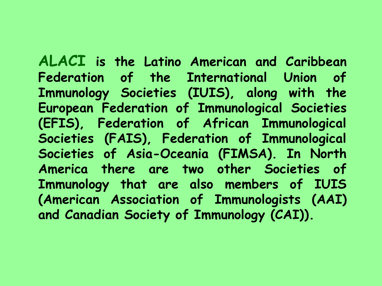**ALACI is the Latino American and Caribbean Federation of the International Union of Immunology Societies (IUIS), along with the European Federation of Immunological Societies (EFIS), Federation of African Immunological Societies (FAIS), Federation of Immunological Societies of Asia-Oceania (FIMSA). In North America there are two other Societies of Immunology that are also members of IUIS (American Association of Immunologists (AAI) and Canadian Society of Immunology (CAI)).**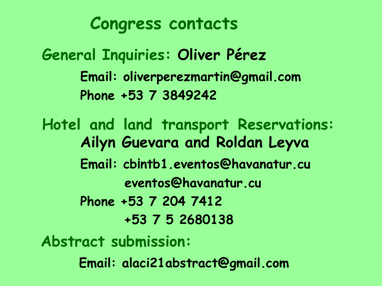**Congress contacts**

**General Inquiries: Oliver Pérez Email: oliverperezmartin@gmail.com Phone +53 7 3849242**

**Hotel and land transport Reservations: Ailyn Guevara and Roldan Leyva Email: cb¡ntb1.eventos@havanatur.cu eventos@havanatur.cu Phone +53 7 204 7412 +53 7 5 2680138 Abstract submission:**

**Email: alaci21abstract@gmail.com**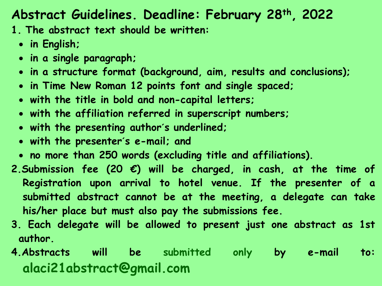### **Abstract Guidelines. Deadline: February 28th , 2022**

**1. The abstract text should be written:**

- **in English;**
- **in a single paragraph;**
- **in a structure format (background, aim, results and conclusions);**
- **in Time New Roman 12 points font and single spaced;**
- **with the title in bold and non-capital letters;**
- **with the affiliation referred in superscript numbers;**
- **with the presenting author´s underlined;**
- **with the presenter´s e-mail; and**
- **no more than 250 words (excluding title and affiliations).**
- **2.Submission fee (20 €) will be charged, in cash, at the time of Registration upon arrival to hotel venue. If the presenter of a submitted abstract cannot be at the meeting, a delegate can take his/her place but must also pay the submissions fee.**
- **3. Each delegate will be allowed to present just one abstract as 1st author.**
- **4.Abstracts will be submitted only by e-mail to: alaci21abstract@gmail.com**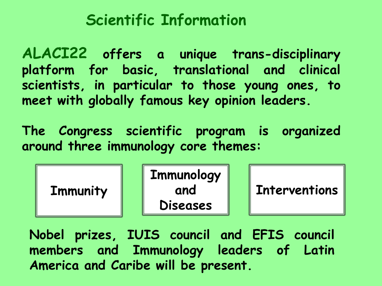# **Scientific Information**

**ALACI22 offers a unique trans-disciplinary platform for basic, translational and clinical scientists, in particular to those young ones, to meet with globally famous key opinion leaders.**

**The Congress scientific program is organized around three immunology core themes:**

| <b>Immunity</b> | <b>Immunology</b><br>and<br><b>Diseases</b> |  | <b>Interventions</b> |
|-----------------|---------------------------------------------|--|----------------------|
|-----------------|---------------------------------------------|--|----------------------|

**Nobel prizes, IUIS council and EFIS council members and Immunology leaders of Latin America and Caribe will be present.**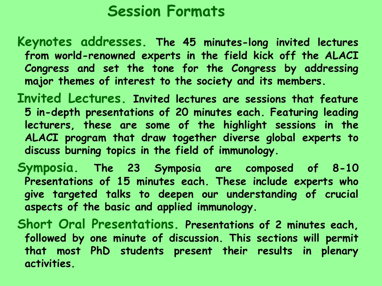# **Session Formats**

- **Keynotes addresses. The 45 minutes-long invited lectures from world-renowned experts in the field kick off the ALACI Congress and set the tone for the Congress by addressing major themes of interest to the society and its members.**
- **Invited Lectures. Invited lectures are sessions that feature 5 in-depth presentations of 20 minutes each. Featuring leading lecturers, these are some of the highlight sessions in the ALACI program that draw together diverse global experts to discuss burning topics in the field of immunology.**
- **Symposia. The 23 Symposia are composed of 8-10 Presentations of 15 minutes each. These include experts who give targeted talks to deepen our understanding of crucial aspects of the basic and applied immunology.**
- **Short Oral Presentations. Presentations of 2 minutes each, followed by one minute of discussion. This sections will permit that most PhD students present their results in plenary activities.**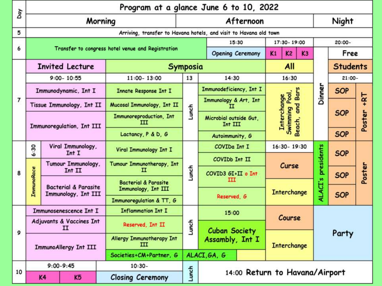| δaγ            | Program at a glance June 6 to 10, 2022                            |                        |                                 |                                                         |                                                   |                                                         |                         |                                                |                                        |            |            |                 |                 |  |
|----------------|-------------------------------------------------------------------|------------------------|---------------------------------|---------------------------------------------------------|---------------------------------------------------|---------------------------------------------------------|-------------------------|------------------------------------------------|----------------------------------------|------------|------------|-----------------|-----------------|--|
|                | Morning                                                           |                        |                                 | Afternoon                                               |                                                   |                                                         |                         |                                                | Night                                  |            |            |                 |                 |  |
| 5              | Arriving, transfer to Havana hotels, and visit to Havana old town |                        |                                 |                                                         |                                                   |                                                         |                         |                                                |                                        |            |            |                 |                 |  |
|                |                                                                   |                        |                                 |                                                         |                                                   |                                                         | 15:30                   |                                                | 17:30-19:00                            |            |            | 20:00-          |                 |  |
| 6              |                                                                   |                        |                                 |                                                         | Transfer to congress hotel venue and Registration |                                                         | <b>Opening Ceremony</b> |                                                | K <sub>2</sub><br>K1<br>K <sub>3</sub> |            |            |                 | Free            |  |
|                |                                                                   | <b>Invited Lecture</b> |                                 |                                                         | <b>Symposia</b>                                   |                                                         |                         | All                                            |                                        |            |            | <b>Students</b> |                 |  |
|                | $9:00 - 10:55$                                                    |                        |                                 |                                                         | 11:00-13:00                                       | 13                                                      | 14:30                   |                                                | 16:30                                  |            |            | $21:00 -$       |                 |  |
|                |                                                                   |                        | Immunodynamic, Int I            | Immunodeficiency, Int I<br><b>Innate Response Int I</b> |                                                   |                                                         | <b>Bars</b>             |                                                |                                        | Dinner     | <b>SOP</b> |                 |                 |  |
| $\overline{7}$ | Tissue Immunology, Int II                                         |                        |                                 | Mucosal Immunology, Int II                              |                                                   | Immunology & Art, Int                                   |                         | Interchange<br>Swimming Pool,<br>and<br>Beach, |                                        |            |            |                 | $+RT$<br>Poster |  |
|                | Immunoregulation, Int III                                         |                        |                                 | Immunoreproduction, Int<br>ш                            | Lunch                                             | Microbial outside Gut,<br>Int III                       |                         |                                                |                                        |            |            | <b>SOP</b>      |                 |  |
|                |                                                                   |                        |                                 | Lactancy, P & D, G                                      |                                                   | Autoimmunity, G                                         |                         |                                                |                                        |            | <b>SOP</b> |                 |                 |  |
|                | 6:30                                                              |                        | Viral Immunology,<br>Int I      |                                                         | Viral Immunology Int I                            |                                                         | COVIDa Int I            |                                                | 16:30-19:30                            |            |            |                 | <b>SOP</b>      |  |
|                | <b>ImmunoRace</b>                                                 | Tumour Immunology,     |                                 | Tumour Immunotherapy, Int                               | Lunch                                             | COVIDb Int II                                           |                         | Curse                                          |                                        | presidents |            |                 |                 |  |
| 8              |                                                                   | Int II                 |                                 | п                                                       |                                                   | COVID3 GI+II o Int                                      |                         |                                                |                                        |            | <b>SOP</b> | Poster          |                 |  |
|                |                                                                   |                        | <b>Bacterial &amp; Parasite</b> | <b>Bacterial &amp; Parasite</b><br>Immunology, Int III  | Ш                                                 |                                                         |                         |                                                | $\mathbf{v}$                           |            |            |                 |                 |  |
|                |                                                                   |                        | Immunology, Int III             |                                                         | Reserved, G                                       |                                                         | Interchange             |                                                | ALACT                                  | <b>SOP</b> |            |                 |                 |  |
|                |                                                                   |                        |                                 |                                                         | Immunoregulation & TT, G                          |                                                         |                         |                                                |                                        |            |            |                 |                 |  |
|                |                                                                   | Immunosenescence Int I |                                 | <b>Inflammation Int I</b>                               |                                                   | 15:00                                                   |                         | Course                                         |                                        |            | Party      |                 |                 |  |
| 9              | Adjuvants & Vaccines Int<br>п                                     |                        |                                 | Reserved, Int II                                        | Lunch                                             | <b>Cuban Society</b><br>Assambly, Int I<br>ALACI, GA, G |                         |                                                |                                        |            |            |                 |                 |  |
|                | <b>ImmunoAllergy Int III</b>                                      |                        |                                 | Allergy Immunotherapy Int<br>ш                          |                                                   |                                                         |                         | <b>Interchange</b>                             |                                        |            |            |                 |                 |  |
|                |                                                                   |                        |                                 | Societies+CM+Partner, G                                 |                                                   |                                                         |                         |                                                |                                        |            |            |                 |                 |  |
|                | $9:00 - 9:45$                                                     |                        |                                 | $10:30-$                                                |                                                   |                                                         |                         |                                                |                                        |            |            |                 |                 |  |
| 10             | K5<br>K4                                                          |                        |                                 | <b>Closing Ceremony</b>                                 | Lunch                                             | 14:00 Return to Havana/Airport                          |                         |                                                |                                        |            |            |                 |                 |  |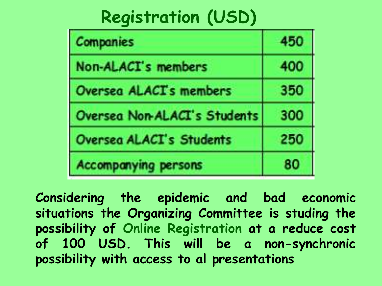# **Registration (USD)**

| <b>Companies</b>                | 450 |
|---------------------------------|-----|
| Non-ALACI's members             | 400 |
| <b>Oversea ALACTs members</b>   | 350 |
| Oversea Non-ALACI's Students    | 300 |
| <b>Oversea ALACI's Students</b> | 250 |
| <b>Accompanying persons</b>     | 80  |

**Considering the epidemic and bad economic situations the Organizing Committee is studing the possibility of Online Registration at a reduce cost of 100 USD. This will be a non-synchronic possibility with access to al presentations**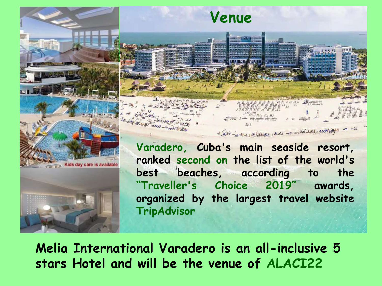

**Melia International Varadero is an all-inclusive 5 stars Hotel and will be the venue of ALACI22**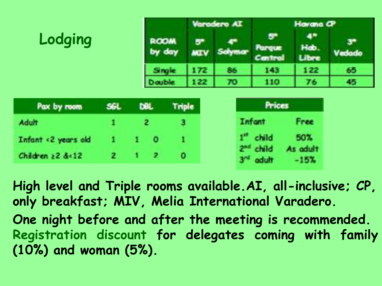|             |     | Varadero AI           |                 |         | Harana CP |               |        |  |  |
|-------------|-----|-----------------------|-----------------|---------|-----------|---------------|--------|--|--|
| Lodging     |     | <b>ROOM</b><br>by day | 5<br><b>MIV</b> | Solyman | Central   | Hab.<br>Libre | Vedado |  |  |
|             |     | Si ng le              | 172             | 86      | 143       | 122           | 65     |  |  |
|             |     | Double                | 122             | 70      | 110       | 76            | 45     |  |  |
| Pax by room | SGL | <b>DBL</b>            | Triple          |         | Prices    |               |        |  |  |
|             |     |                       |                 |         |           |               |        |  |  |

Adult Infant Free 1 2 з child 50%  $1 \quad 0$ Infant <2 years old  $\mathbf{1}$ 1 As adult child  $\,$  2  $\,$  $\overline{2}$ - 11 Children  $22.812$  $\bullet$  $3^{\prime\prime}$  adult  $-15%$ 

**High level and Triple rooms available.AI, all-inclusive; CP, only breakfast; MIV, Melia International Varadero. One night before and after the meeting is recommended. Registration discount for delegates coming with family (10%) and woman (5%).**